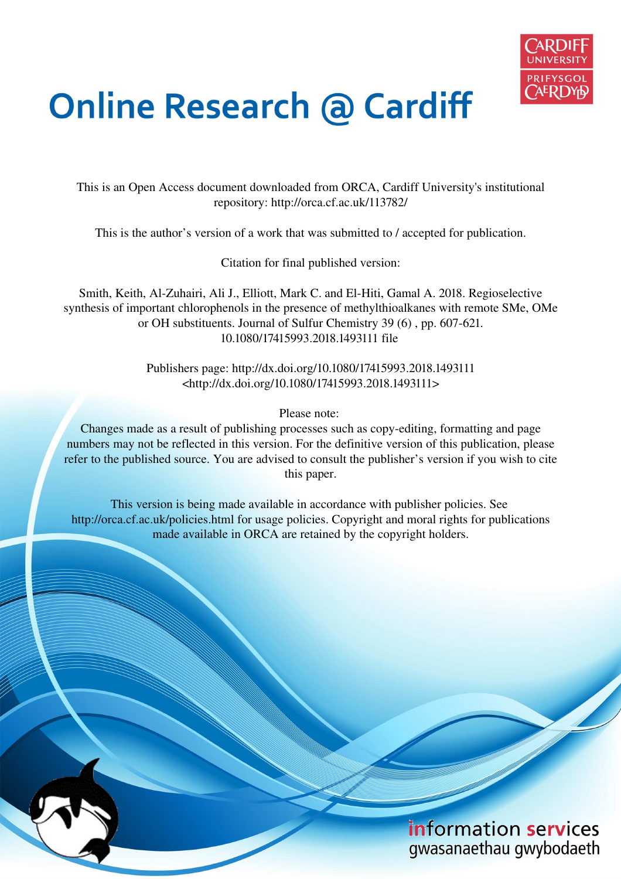

# **Online Research @ Cardiff**

This is an Open Access document downloaded from ORCA, Cardiff University's institutional repository: http://orca.cf.ac.uk/113782/

This is the author's version of a work that was submitted to / accepted for publication.

Citation for final published version:

Smith, Keith, Al-Zuhairi, Ali J., Elliott, Mark C. and El-Hiti, Gamal A. 2018. Regioselective synthesis of important chlorophenols in the presence of methylthioalkanes with remote SMe, OMe or OH substituents. Journal of Sulfur Chemistry 39 (6) , pp. 607-621. 10.1080/17415993.2018.1493111 file

> Publishers page: http://dx.doi.org/10.1080/17415993.2018.1493111 <http://dx.doi.org/10.1080/17415993.2018.1493111>

> > Please note:

Changes made as a result of publishing processes such as copy-editing, formatting and page numbers may not be reflected in this version. For the definitive version of this publication, please refer to the published source. You are advised to consult the publisher's version if you wish to cite this paper.

This version is being made available in accordance with publisher policies. See http://orca.cf.ac.uk/policies.html for usage policies. Copyright and moral rights for publications made available in ORCA are retained by the copyright holders.

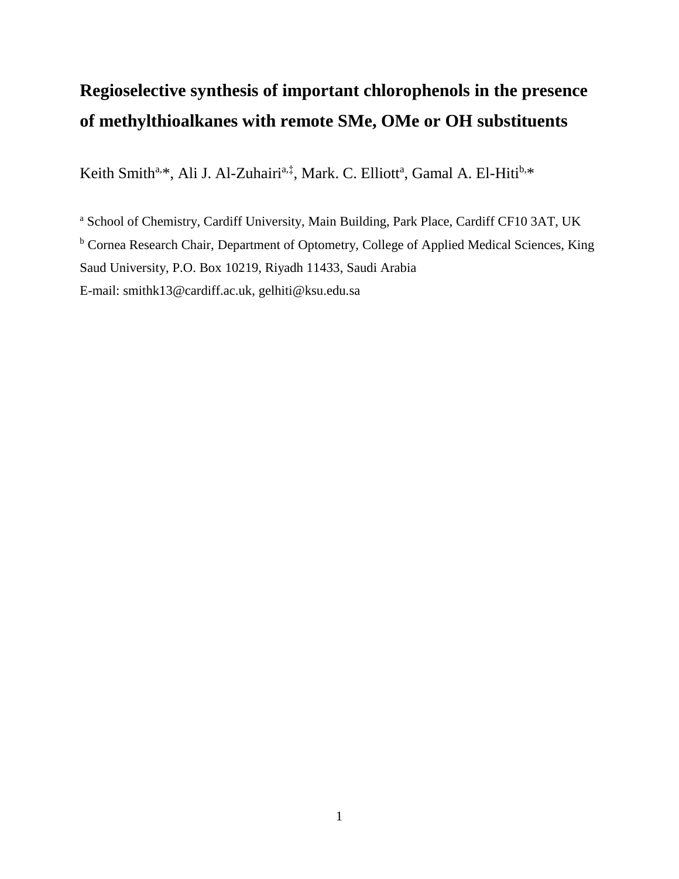# **Regioselective synthesis of important chlorophenols in the presence of methylthioalkanes with remote SMe, OMe or OH substituents**

Keith Smith<sup>a,\*</sup>, Ali J. Al-Zuhairi<sup>a,‡</sup>, Mark. C. Elliott<sup>a</sup>, Gamal A. El-Hiti<sup>b,\*</sup>

a School of Chemistry, Cardiff University, Main Building, Park Place, Cardiff CF10 3AT, UK <sup>b</sup> Cornea Research Chair, Department of Optometry, College of Applied Medical Sciences, King Saud University, P.O. Box 10219, Riyadh 11433, Saudi Arabia E-mail: [smithk13@cardiff.ac.uk,](mailto:smithk13@cardiff.ac.uk) [gelhiti@ksu.edu.sa](mailto:el-hitiga@cardiff.ac.uk)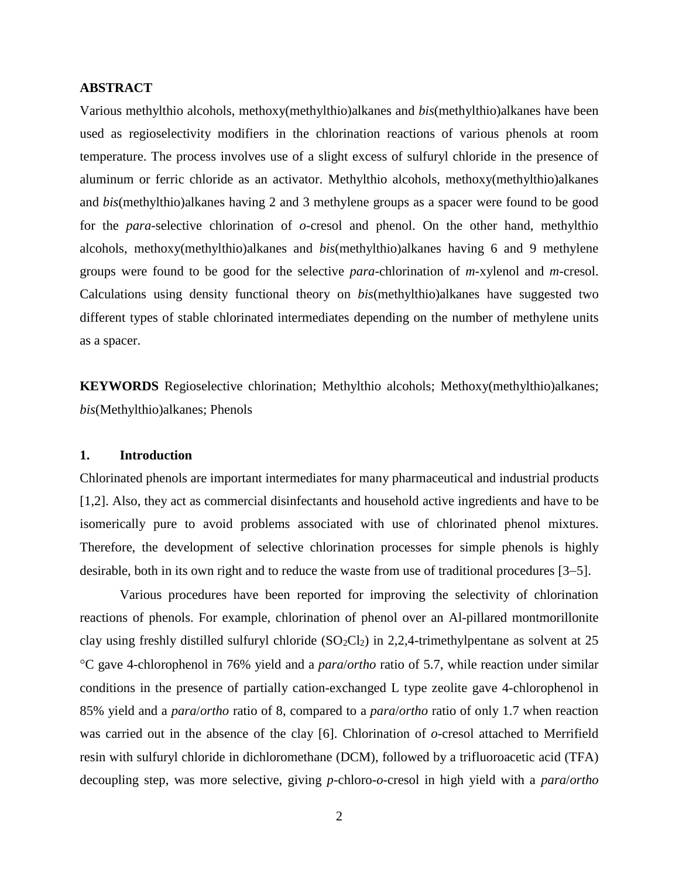#### **ABSTRACT**

Various methylthio alcohols, methoxy(methylthio)alkanes and *bis*(methylthio)alkanes have been used as regioselectivity modifiers in the chlorination reactions of various phenols at room temperature. The process involves use of a slight excess of sulfuryl chloride in the presence of aluminum or ferric chloride as an activator. Methylthio alcohols, methoxy(methylthio)alkanes and *bis*(methylthio)alkanes having 2 and 3 methylene groups as a spacer were found to be good for the *para*-selective chlorination of *o*-cresol and phenol. On the other hand, methylthio alcohols, methoxy(methylthio)alkanes and *bis*(methylthio)alkanes having 6 and 9 methylene groups were found to be good for the selective *para*-chlorination of *m*-xylenol and *m*-cresol. Calculations using density functional theory on *bis*(methylthio)alkanes have suggested two different types of stable chlorinated intermediates depending on the number of methylene units as a spacer.

**KEYWORDS** Regioselective chlorination; Methylthio alcohols; Methoxy(methylthio)alkanes; *bis*(Methylthio)alkanes; Phenols

# **1. Introduction**

Chlorinated phenols are important intermediates for many pharmaceutical and industrial products [1,2]. Also, they act as commercial disinfectants and household active ingredients and have to be isomerically pure to avoid problems associated with use of chlorinated phenol mixtures. Therefore, the development of selective chlorination processes for simple phenols is highly desirable, both in its own right and to reduce the waste from use of traditional procedures [3–5].

Various procedures have been reported for improving the selectivity of chlorination reactions of phenols. For example, chlorination of phenol over an Al-pillared montmorillonite clay using freshly distilled sulfuryl chloride  $(SO_2Cl_2)$  in 2,2,4-trimethylpentane as solvent at 25 C gave 4-chlorophenol in 76% yield and a *para*/*ortho* ratio of 5.7, while reaction under similar conditions in the presence of partially cation-exchanged L type zeolite gave 4-chlorophenol in 85% yield and a *para*/*ortho* ratio of 8, compared to a *para*/*ortho* ratio of only 1.7 when reaction was carried out in the absence of the clay [6]. Chlorination of *o*-cresol attached to Merrifield resin with sulfuryl chloride in dichloromethane (DCM), followed by a trifluoroacetic acid (TFA) decoupling step, was more selective, giving *p*-chloro-*o*-cresol in high yield with a *para*/*ortho*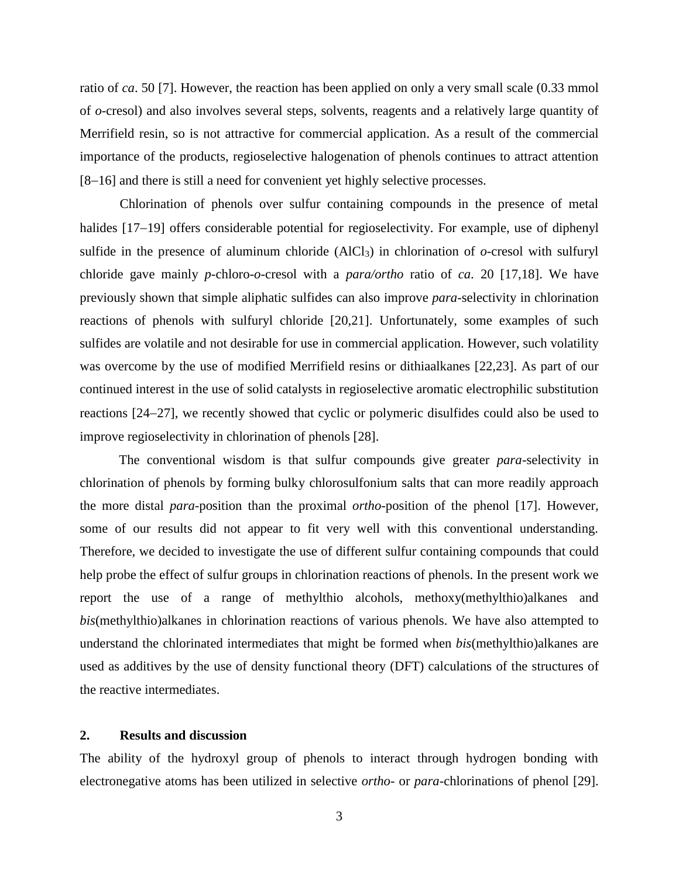ratio of *ca*. 50 [7]. However, the reaction has been applied on only a very small scale (0.33 mmol of *o*-cresol) and also involves several steps, solvents, reagents and a relatively large quantity of Merrifield resin, so is not attractive for commercial application. As a result of the commercial importance of the products, regioselective halogenation of phenols continues to attract attention [8-16] and there is still a need for convenient yet highly selective processes.

Chlorination of phenols over sulfur containing compounds in the presence of metal halides [17-19] offers considerable potential for regioselectivity. For example, use of diphenyl sulfide in the presence of aluminum chloride  $(AICI<sub>3</sub>)$  in chlorination of  $o$ -cresol with sulfuryl chloride gave mainly *p*-chloro-*o*-cresol with a *para/ortho* ratio of *ca*. 20 [17,18]. We have previously shown that simple aliphatic sulfides can also improve *para*-selectivity in chlorination reactions of phenols with sulfuryl chloride [20,21]. Unfortunately, some examples of such sulfides are volatile and not desirable for use in commercial application. However, such volatility was overcome by the use of modified Merrifield resins or dithiaalkanes [22,23]. As part of our continued interest in the use of solid catalysts in regioselective aromatic electrophilic substitution reactions [24–27], we recently showed that cyclic or polymeric disulfides could also be used to improve regioselectivity in chlorination of phenols [28].

The conventional wisdom is that sulfur compounds give greater *para*-selectivity in chlorination of phenols by forming bulky chlorosulfonium salts that can more readily approach the more distal *para*-position than the proximal *ortho*-position of the phenol [17]. However, some of our results did not appear to fit very well with this conventional understanding. Therefore, we decided to investigate the use of different sulfur containing compounds that could help probe the effect of sulfur groups in chlorination reactions of phenols. In the present work we report the use of a range of methylthio alcohols, methoxy(methylthio)alkanes and *bis*(methylthio)alkanes in chlorination reactions of various phenols. We have also attempted to understand the chlorinated intermediates that might be formed when *bis*(methylthio)alkanes are used as additives by the use of density functional theory (DFT) calculations of the structures of the reactive intermediates.

## **2. Results and discussion**

The ability of the hydroxyl group of phenols to interact through hydrogen bonding with electronegative atoms has been utilized in selective *ortho*- or *para*-chlorinations of phenol [29].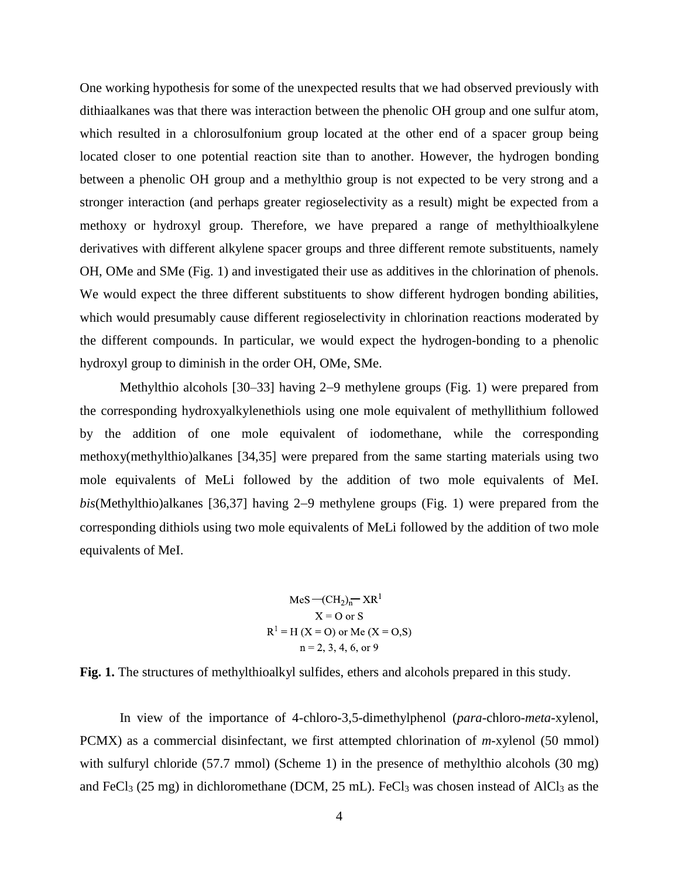One working hypothesis for some of the unexpected results that we had observed previously with dithiaalkanes was that there was interaction between the phenolic OH group and one sulfur atom, which resulted in a chlorosulfonium group located at the other end of a spacer group being located closer to one potential reaction site than to another. However, the hydrogen bonding between a phenolic OH group and a methylthio group is not expected to be very strong and a stronger interaction (and perhaps greater regioselectivity as a result) might be expected from a methoxy or hydroxyl group. Therefore, we have prepared a range of methylthioalkylene derivatives with different alkylene spacer groups and three different remote substituents, namely OH, OMe and SMe (Fig. 1) and investigated their use as additives in the chlorination of phenols. We would expect the three different substituents to show different hydrogen bonding abilities, which would presumably cause different regioselectivity in chlorination reactions moderated by the different compounds. In particular, we would expect the hydrogen-bonding to a phenolic hydroxyl group to diminish in the order OH, OMe, SMe.

Methylthio alcohols [30–33] having 2–9 methylene groups (Fig. 1) were prepared from the corresponding hydroxyalkylenethiols using one mole equivalent of methyllithium followed by the addition of one mole equivalent of iodomethane, while the corresponding methoxy(methylthio)alkanes [34,35] were prepared from the same starting materials using two mole equivalents of MeLi followed by the addition of two mole equivalents of MeI. *bis*(Methylthio)alkanes [36,37] having 2–9 methylene groups (Fig. 1) were prepared from the corresponding dithiols using two mole equivalents of MeLi followed by the addition of two mole equivalents of MeI.

$$
MeS - (CH2)n - XR1
$$
  
X = 0 or S  
R<sup>1</sup> = H (X = 0) or Me (X = 0,S)  
n = 2, 3, 4, 6, or 9

**Fig. 1.** The structures of methylthioalkyl sulfides, ethers and alcohols prepared in this study.

In view of the importance of 4-chloro-3,5-dimethylphenol (*para-*chloro-*meta-*xylenol, PCMX) as a commercial disinfectant, we first attempted chlorination of *m*-xylenol (50 mmol) with sulfuryl chloride (57.7 mmol) (Scheme 1) in the presence of methylthio alcohols (30 mg) and FeCl<sub>3</sub> (25 mg) in dichloromethane (DCM, 25 mL). FeCl<sub>3</sub> was chosen instead of AlCl<sub>3</sub> as the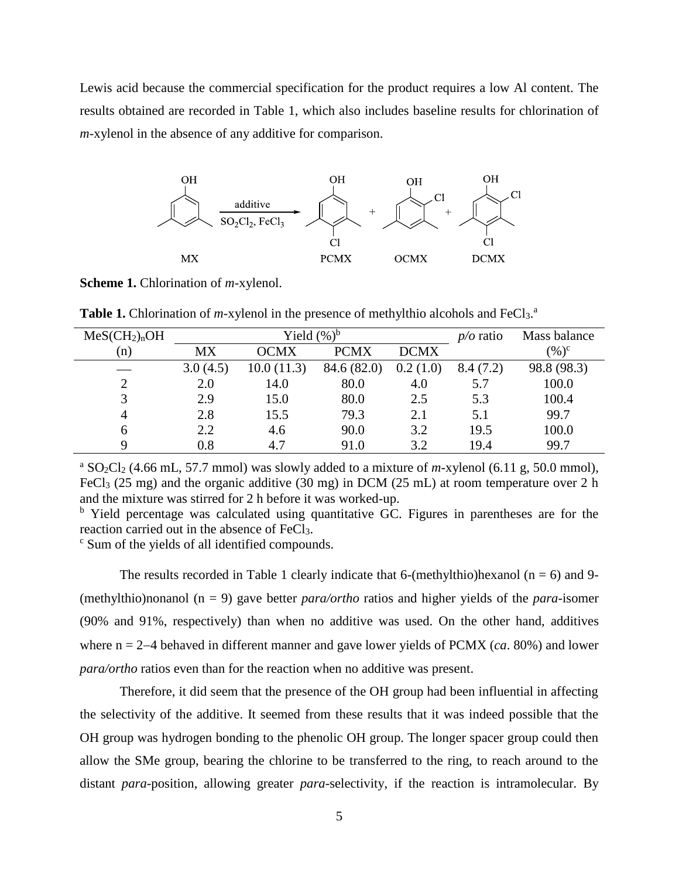Lewis acid because the commercial specification for the product requires a low Al content. The results obtained are recorded in Table 1, which also includes baseline results for chlorination of *m*-xylenol in the absence of any additive for comparison.



**Scheme 1.** Chlorination of *m*-xylenol.

Table 1. Chlorination of *m*-xylenol in the presence of methylthio alcohols and FeCl<sub>3</sub>.<sup>a</sup>

| MeSCH <sub>2</sub> ) <sub>n</sub> OH |          | Yield $(\%)^b$ | $p/o$ ratio | Mass balance |          |             |
|--------------------------------------|----------|----------------|-------------|--------------|----------|-------------|
| (n)                                  | МX       | <b>OCMX</b>    | <b>PCMX</b> | <b>DCMX</b>  |          | $(\%)^c$    |
|                                      | 3.0(4.5) | 10.0(11.3)     | 84.6 (82.0) | 0.2(1.0)     | 8.4(7.2) | 98.8 (98.3) |
| $\overline{2}$                       | 2.0      | 14.0           | 80.0        | 4.0          | 5.7      | 100.0       |
| 3                                    | 2.9      | 15.0           | 80.0        | 2.5          | 5.3      | 100.4       |
| 4                                    | 2.8      | 15.5           | 79.3        | 2.1          | 5.1      | 99.7        |
| 6                                    | 2.2      | 4.6            | 90.0        | 3.2          | 19.5     | 100.0       |
| Q                                    | 0.8      | 4.7            | 91.0        | 3.2          | 19.4     | 99.7        |

<sup>a</sup> SO<sub>2</sub>Cl<sub>2</sub> (4.66 mL, 57.7 mmol) was slowly added to a mixture of *m*-xylenol (6.11 g, 50.0 mmol), FeCl<sub>3</sub> (25 mg) and the organic additive (30 mg) in DCM (25 mL) at room temperature over 2 h and the mixture was stirred for 2 h before it was worked-up.

<sup>b</sup> Yield percentage was calculated using quantitative GC. Figures in parentheses are for the reaction carried out in the absence of FeCl3.

c Sum of the yields of all identified compounds.

The results recorded in Table 1 clearly indicate that 6-(methylthio)hexanol ( $n = 6$ ) and 9-(methylthio)nonanol (n = 9) gave better *para/ortho* ratios and higher yields of the *para*-isomer (90% and 91%, respectively) than when no additive was used. On the other hand, additives where  $n = 2-4$  behaved in different manner and gave lower yields of PCMX (*ca*. 80%) and lower *para/ortho* ratios even than for the reaction when no additive was present.

Therefore, it did seem that the presence of the OH group had been influential in affecting the selectivity of the additive. It seemed from these results that it was indeed possible that the OH group was hydrogen bonding to the phenolic OH group. The longer spacer group could then allow the SMe group, bearing the chlorine to be transferred to the ring, to reach around to the distant *para*-position, allowing greater *para*-selectivity, if the reaction is intramolecular. By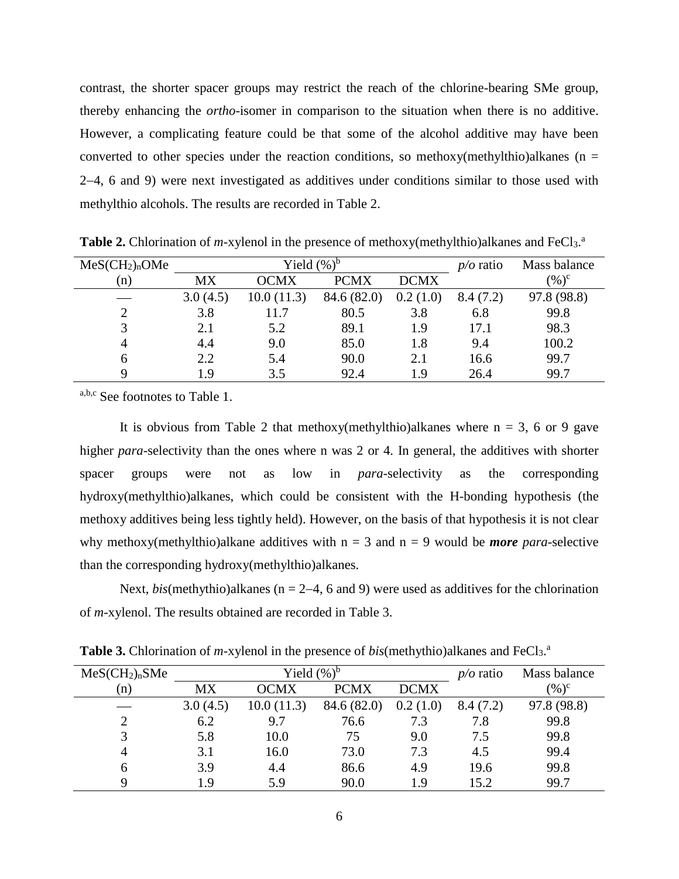contrast, the shorter spacer groups may restrict the reach of the chlorine-bearing SMe group, thereby enhancing the *ortho*-isomer in comparison to the situation when there is no additive. However, a complicating feature could be that some of the alcohol additive may have been converted to other species under the reaction conditions, so methoxy(methylthio)alkanes ( $n =$ 24, 6 and 9) were next investigated as additives under conditions similar to those used with methylthio alcohols. The results are recorded in Table 2.

| MeSCH <sub>2</sub> ) <sub>n</sub> OMe |           | Yield $(\%)^b$ | $p/o$ ratio | Mass balance |          |             |
|---------------------------------------|-----------|----------------|-------------|--------------|----------|-------------|
| (n)                                   | <b>MX</b> | <b>OCMX</b>    | <b>PCMX</b> | <b>DCMX</b>  |          | $(\%)^c$    |
|                                       | 3.0(4.5)  | 10.0(11.3)     | 84.6 (82.0) | 0.2(1.0)     | 8.4(7.2) | 97.8 (98.8) |
| 2                                     | 3.8       | 11.7           | 80.5        | 3.8          | 6.8      | 99.8        |
| 3                                     | 2.1       | 5.2            | 89.1        | 1.9          | 17.1     | 98.3        |
| $\overline{4}$                        | 4.4       | 9.0            | 85.0        | 1.8          | 9.4      | 100.2       |
| 6                                     | 2.2       | 5.4            | 90.0        | 2.1          | 16.6     | 99.7        |
| Q                                     | l 9       | 3.5            | 92.4        | 19           | 26.4     | 99.7        |

Table 2. Chlorination of *m*-xylenol in the presence of methoxy(methylthio)alkanes and FeCl<sub>3</sub>.<sup>a</sup>

a,b,c See footnotes to Table 1.

It is obvious from Table 2 that methoxy(methylthio)alkanes where  $n = 3$ , 6 or 9 gave higher *para*-selectivity than the ones where n was 2 or 4. In general, the additives with shorter spacer groups were not as low in *para*-selectivity as the corresponding hydroxy(methylthio)alkanes, which could be consistent with the H-bonding hypothesis (the methoxy additives being less tightly held). However, on the basis of that hypothesis it is not clear why methoxy(methylthio)alkane additives with  $n = 3$  and  $n = 9$  would be *more para*-selective than the corresponding hydroxy(methylthio)alkanes.

Next, *bis*(methythio)alkanes ( $n = 2-4$ , 6 and 9) were used as additives for the chlorination of *m*-xylenol. The results obtained are recorded in Table 3.

| MeS(CH <sub>2</sub> ) <sub>n</sub> SMe |          | Yield $(\%)^b$ | $p/o$ ratio | Mass balance |          |             |
|----------------------------------------|----------|----------------|-------------|--------------|----------|-------------|
| (n)                                    | МX       | <b>OCMX</b>    | <b>PCMX</b> | <b>DCMX</b>  |          | $(\%)^c$    |
|                                        | 3.0(4.5) | 10.0(11.3)     | 84.6 (82.0) | 0.2(1.0)     | 8.4(7.2) | 97.8 (98.8) |
| 2                                      | 6.2      | 9.7            | 76.6        | 7.3          | 7.8      | 99.8        |
| 3                                      | 5.8      | 10.0           | 75          | 9.0          | 7.5      | 99.8        |
| $\overline{4}$                         | 3.1      | 16.0           | 73.0        | 7.3          | 4.5      | 99.4        |
| 6                                      | 3.9      | 4.4            | 86.6        | 4.9          | 19.6     | 99.8        |
| Q                                      | 1.9      | 5.9            | 90.0        | 1.9          | 15.2     | 99.7        |

Table 3. Chlorination of *m*-xylenol in the presence of *bis*(methythio)alkanes and FeCl<sub>3</sub>.<sup>a</sup>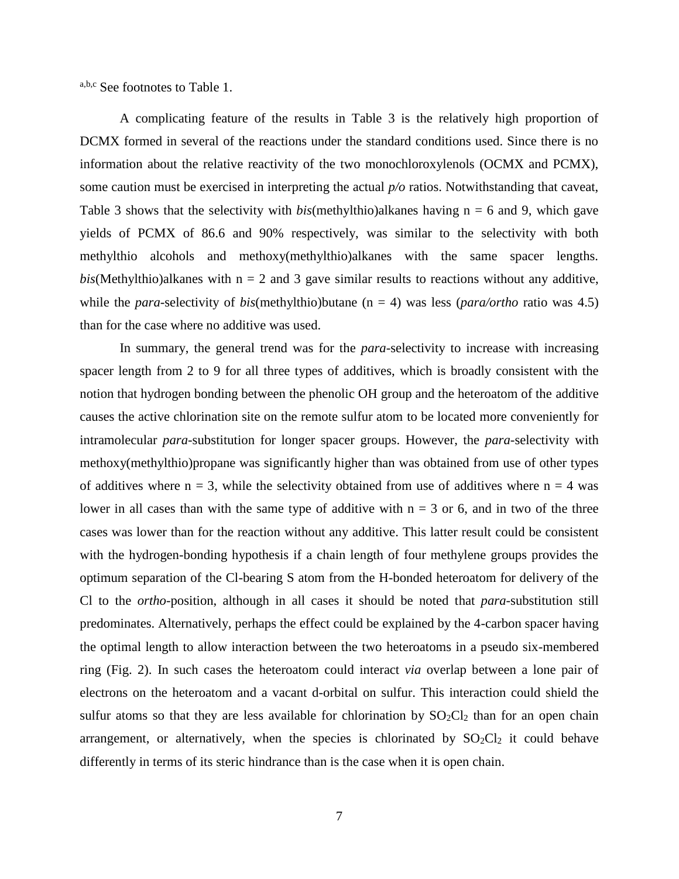a,b,c See footnotes to Table 1.

A complicating feature of the results in Table 3 is the relatively high proportion of DCMX formed in several of the reactions under the standard conditions used. Since there is no information about the relative reactivity of the two monochloroxylenols (OCMX and PCMX), some caution must be exercised in interpreting the actual *p/o* ratios. Notwithstanding that caveat, Table 3 shows that the selectivity with  $bis$ (methylthio)alkanes having  $n = 6$  and 9, which gave yields of PCMX of 86.6 and 90% respectively, was similar to the selectivity with both methylthio alcohols and methoxy(methylthio)alkanes with the same spacer lengths. *bis*(Methylthio)alkanes with  $n = 2$  and 3 gave similar results to reactions without any additive, while the *para*-selectivity of *bis*(methylthio)butane (n = 4) was less (*para/ortho* ratio was 4.5) than for the case where no additive was used.

In summary, the general trend was for the *para*-selectivity to increase with increasing spacer length from 2 to 9 for all three types of additives, which is broadly consistent with the notion that hydrogen bonding between the phenolic OH group and the heteroatom of the additive causes the active chlorination site on the remote sulfur atom to be located more conveniently for intramolecular *para*-substitution for longer spacer groups. However, the *para*-selectivity with methoxy(methylthio)propane was significantly higher than was obtained from use of other types of additives where  $n = 3$ , while the selectivity obtained from use of additives where  $n = 4$  was lower in all cases than with the same type of additive with  $n = 3$  or 6, and in two of the three cases was lower than for the reaction without any additive. This latter result could be consistent with the hydrogen-bonding hypothesis if a chain length of four methylene groups provides the optimum separation of the Cl-bearing S atom from the H-bonded heteroatom for delivery of the Cl to the *ortho*-position, although in all cases it should be noted that *para*-substitution still predominates. Alternatively, perhaps the effect could be explained by the 4-carbon spacer having the optimal length to allow interaction between the two heteroatoms in a pseudo six-membered ring (Fig. 2). In such cases the heteroatom could interact *via* overlap between a lone pair of electrons on the heteroatom and a vacant d-orbital on sulfur. This interaction could shield the sulfur atoms so that they are less available for chlorination by  $SO_2Cl_2$  than for an open chain arrangement, or alternatively, when the species is chlorinated by  $SO_2Cl_2$  it could behave differently in terms of its steric hindrance than is the case when it is open chain.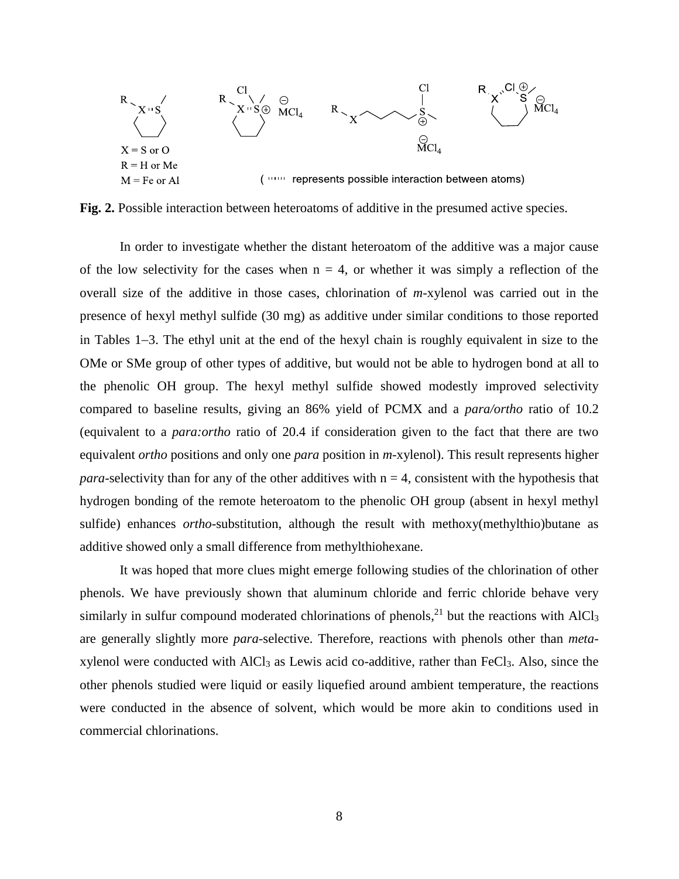

**Fig. 2.** Possible interaction between heteroatoms of additive in the presumed active species.

In order to investigate whether the distant heteroatom of the additive was a major cause of the low selectivity for the cases when  $n = 4$ , or whether it was simply a reflection of the overall size of the additive in those cases, chlorination of *m*-xylenol was carried out in the presence of hexyl methyl sulfide (30 mg) as additive under similar conditions to those reported in Tables  $1-3$ . The ethyl unit at the end of the hexyl chain is roughly equivalent in size to the OMe or SMe group of other types of additive, but would not be able to hydrogen bond at all to the phenolic OH group. The hexyl methyl sulfide showed modestly improved selectivity compared to baseline results, giving an 86% yield of PCMX and a *para/ortho* ratio of 10.2 (equivalent to a *para:ortho* ratio of 20.4 if consideration given to the fact that there are two equivalent *ortho* positions and only one *para* position in *m*-xylenol). This result represents higher *para*-selectivity than for any of the other additives with  $n = 4$ , consistent with the hypothesis that hydrogen bonding of the remote heteroatom to the phenolic OH group (absent in hexyl methyl sulfide) enhances *ortho*-substitution, although the result with methoxy(methylthio)butane as additive showed only a small difference from methylthiohexane.

It was hoped that more clues might emerge following studies of the chlorination of other phenols. We have previously shown that aluminum chloride and ferric chloride behave very similarly in sulfur compound moderated chlorinations of phenols,<sup>21</sup> but the reactions with  $AICI<sub>3</sub>$ are generally slightly more *para*-selective. Therefore, reactions with phenols other than *meta*xylenol were conducted with AlCl<sup>3</sup> as Lewis acid co-additive, rather than FeCl3. Also, since the other phenols studied were liquid or easily liquefied around ambient temperature, the reactions were conducted in the absence of solvent, which would be more akin to conditions used in commercial chlorinations.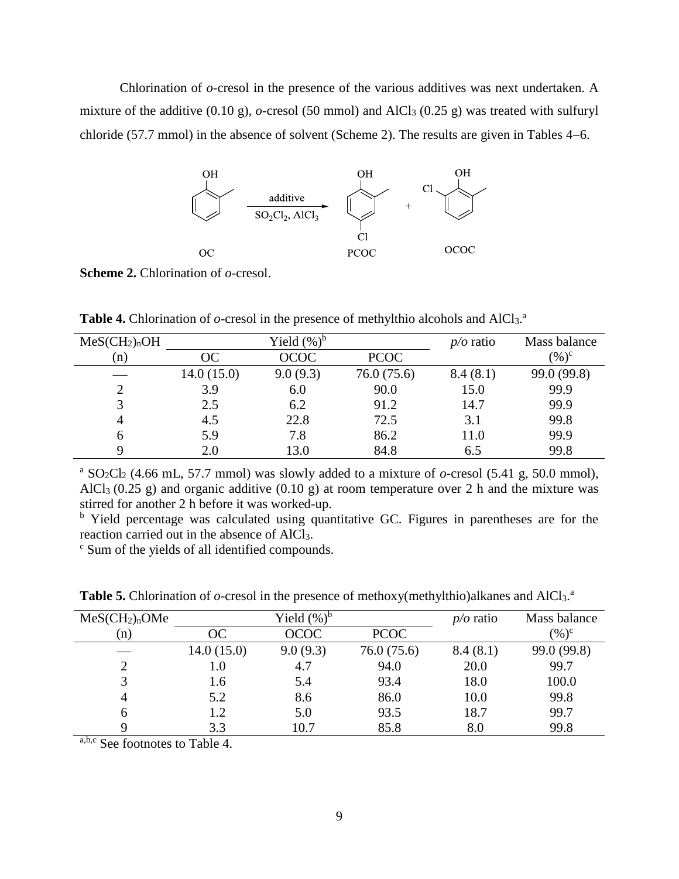Chlorination of *o*-cresol in the presence of the various additives was next undertaken. A mixture of the additive  $(0.10 \text{ g})$ , *o*-cresol (50 mmol) and AlCl<sub>3</sub>  $(0.25 \text{ g})$  was treated with sulfuryl chloride  $(57.7 \text{ mmol})$  in the absence of solvent (Scheme 2). The results are given in Tables 4–6.



**Scheme 2.** Chlorination of *o*-cresol.

Table 4. Chlorination of *o*-cresol in the presence of methylthio alcohols and AlCl<sub>3</sub>.<sup>a</sup>

| MeSCH <sub>2</sub> ) <sub>n</sub> OH |            | Yield $(\%)^b$ |             | $p/o$ ratio | Mass balance |
|--------------------------------------|------------|----------------|-------------|-------------|--------------|
| (n)                                  | ОC         | <b>OCOC</b>    | <b>PCOC</b> |             | $(\%)^c$     |
|                                      | 14.0(15.0) | 9.0(9.3)       | 76.0(75.6)  | 8.4(8.1)    | 99.0 (99.8)  |
| 2                                    | 3.9        | 6.0            | 90.0        | 15.0        | 99.9         |
| 3                                    | 2.5        | 6.2            | 91.2        | 14.7        | 99.9         |
| 4                                    | 4.5        | 22.8           | 72.5        | 3.1         | 99.8         |
| 6                                    | 5.9        | 7.8            | 86.2        | 11.0        | 99.9         |
|                                      | 2.0        | 13.0           | 84.8        | 6.5         | 99.8         |

<sup>a</sup> SO<sub>2</sub>Cl<sub>2</sub> (4.66 mL, 57.7 mmol) was slowly added to a mixture of  $o$ -cresol (5.41 g, 50.0 mmol), AlCl<sub>3</sub> (0.25 g) and organic additive (0.10 g) at room temperature over 2 h and the mixture was stirred for another 2 h before it was worked-up.

<sup>b</sup> Yield percentage was calculated using quantitative GC. Figures in parentheses are for the reaction carried out in the absence of AlCl3.

c Sum of the yields of all identified compounds.

| MeSCH <sub>2</sub> ) <sub>n</sub> OMe |            | Yield $(\%)^b$ |             | $p/o$ ratio | Mass balance |
|---------------------------------------|------------|----------------|-------------|-------------|--------------|
| (n)                                   | OC.        | <b>OCOC</b>    | <b>PCOC</b> |             | $(\%)^c$     |
|                                       | 14.0(15.0) | 9.0(9.3)       | 76.0 (75.6) | 8.4(8.1)    | 99.0 (99.8)  |
| $\mathcal{D}$                         | 1.0        | 4.7            | 94.0        | 20.0        | 99.7         |
|                                       | 1.6        | 5.4            | 93.4        | 18.0        | 100.0        |
| 4                                     | 5.2        | 8.6            | 86.0        | 10.0        | 99.8         |
| 6                                     | 1.2        | 5.0            | 93.5        | 18.7        | 99.7         |
|                                       | 3.3        | 10.7           | 85.8        | 8.0         | 99.8         |

Table 5. Chlorination of *o*-cresol in the presence of methoxy(methylthio)alkanes and AlCl<sub>3</sub>.<sup>a</sup>

a,b,c See footnotes to Table 4.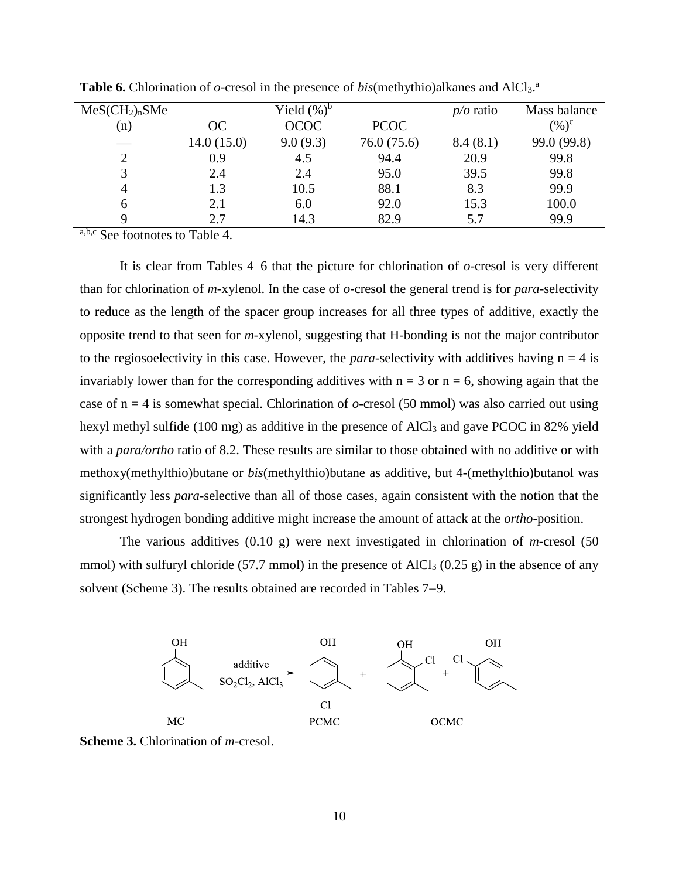| MeS(CH <sub>2</sub> ) <sub>n</sub> SMe |            | Yield $(\%)^b$ |             | $p/o$ ratio | Mass balance |
|----------------------------------------|------------|----------------|-------------|-------------|--------------|
| (n)                                    | ОC         | <b>OCOC</b>    | <b>PCOC</b> |             | $(\%)^c$     |
|                                        | 14.0(15.0) | 9.0(9.3)       | 76.0(75.6)  | 8.4(8.1)    | 99.0 (99.8)  |
| 2                                      | 0.9        | 4.5            | 94.4        | 20.9        | 99.8         |
| 3                                      | 2.4        | 2.4            | 95.0        | 39.5        | 99.8         |
| $\overline{4}$                         | 1.3        | 10.5           | 88.1        | 8.3         | 99.9         |
| 6                                      | 2.1        | 6.0            | 92.0        | 15.3        | 100.0        |
| Q                                      | 2.7        | 14.3           | 82.9        | 5.7         | 99.9         |

Table 6. Chlorination of *o*-cresol in the presence of *bis*(methythio)alkanes and AlCl<sub>3</sub>.<sup>a</sup>

a,b,c See footnotes to Table 4.

It is clear from Tables 4–6 that the picture for chlorination of *o*-cresol is very different than for chlorination of *m*-xylenol. In the case of *o*-cresol the general trend is for *para*-selectivity to reduce as the length of the spacer group increases for all three types of additive, exactly the opposite trend to that seen for *m*-xylenol, suggesting that H-bonding is not the major contributor to the regiosoelectivity in this case. However, the *para*-selectivity with additives having  $n = 4$  is invariably lower than for the corresponding additives with  $n = 3$  or  $n = 6$ , showing again that the case of n = 4 is somewhat special. Chlorination of *o-*cresol (50 mmol) was also carried out using hexyl methyl sulfide (100 mg) as additive in the presence of AlCl<sub>3</sub> and gave PCOC in 82% yield with a *para/ortho* ratio of 8.2. These results are similar to those obtained with no additive or with methoxy(methylthio)butane or *bis*(methylthio)butane as additive, but 4-(methylthio)butanol was significantly less *para*-selective than all of those cases, again consistent with the notion that the strongest hydrogen bonding additive might increase the amount of attack at the *ortho*-position.

The various additives (0.10 g) were next investigated in chlorination of *m*-cresol (50 mmol) with sulfuryl chloride (57.7 mmol) in the presence of AlCl<sub>3</sub> (0.25 g) in the absence of any solvent (Scheme 3). The results obtained are recorded in Tables 7–9.



**Scheme 3.** Chlorination of *m*-cresol.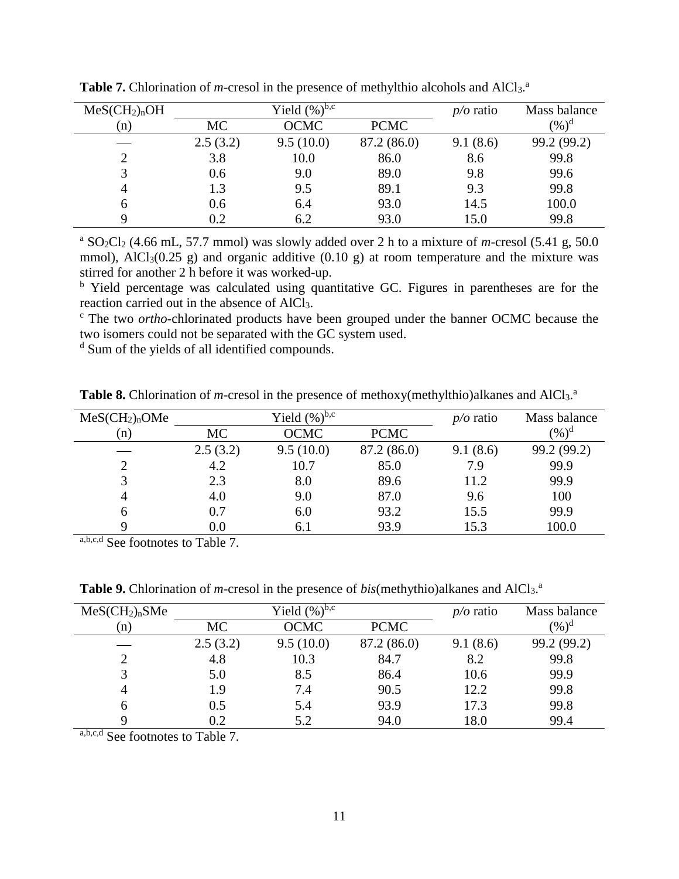| MeSCH <sub>2</sub> ) <sub>n</sub> OH |           | Yield $(\%)^{b,c}$ |             | $p/o$ ratio | Mass balance      |
|--------------------------------------|-----------|--------------------|-------------|-------------|-------------------|
| (n)                                  | <b>MC</b> | <b>OCMC</b>        | <b>PCMC</b> |             | $(\%)^{\text{d}}$ |
|                                      | 2.5(3.2)  | 9.5(10.0)          | 87.2 (86.0) | 9.1(8.6)    | 99.2 (99.2)       |
| ႒                                    | 3.8       | 10.0               | 86.0        | 8.6         | 99.8              |
|                                      | 0.6       | 9.0                | 89.0        | 9.8         | 99.6              |
| 4                                    | 1.3       | 9.5                | 89.1        | 9.3         | 99.8              |
| h                                    | 0.6       | 6.4                | 93.0        | 14.5        | 100.0             |
|                                      | 0.2       | 6.2                | 93.0        | 15.0        | 99.8              |

Table 7. Chlorination of *m*-cresol in the presence of methylthio alcohols and AlCl<sub>3</sub>.<sup>a</sup>

<sup>a</sup> SO2Cl2 (4.66 mL, 57.7 mmol) was slowly added over 2 h to a mixture of *m*-cresol (5.41 g, 50.0 mmol), AlCl<sub>3</sub>(0.25 g) and organic additive (0.10 g) at room temperature and the mixture was stirred for another 2 h before it was worked-up.

<sup>b</sup> Yield percentage was calculated using quantitative GC. Figures in parentheses are for the reaction carried out in the absence of AlCl3.

c The two *ortho*-chlorinated products have been grouped under the banner OCMC because the two isomers could not be separated with the GC system used.

<sup>d</sup> Sum of the yields of all identified compounds.

| MeS(CH <sub>2</sub> ) <sub>n</sub> OMe |          | Yield $(\%)^{b,c}$ |             | $p/o$ ratio | Mass balance |
|----------------------------------------|----------|--------------------|-------------|-------------|--------------|
| (n)                                    | MC       | <b>OCMC</b>        | <b>PCMC</b> |             | $(\%)^d$     |
|                                        | 2.5(3.2) | 9.5(10.0)          | 87.2 (86.0) | 9.1(8.6)    | 99.2 (99.2)  |
| $\mathcal{D}$                          | 4.2      | 10.7               | 85.0        | 7.9         | 99.9         |
|                                        | 2.3      | 8.0                | 89.6        | 11.2        | 99.9         |
| 4                                      | 4.0      | 9.0                | 87.0        | 9.6         | 100          |
| h                                      | 0.7      | 6.0                | 93.2        | 15.5        | 99.9         |
|                                        | 0.0      | 6.1                | 93.9        | 15.3        | 100.0        |

Table 8. Chlorination of *m*-cresol in the presence of methoxy(methylthio)alkanes and AlCl<sub>3</sub>.<sup>a</sup>

a,b,c,d See footnotes to Table 7.

Table 9. Chlorination of *m*-cresol in the presence of *bis*(methythio)alkanes and AlCl<sub>3</sub>.<sup>a</sup>

| $MeS(CH_2)_nSMe$ |          | Yield $(\%)^{b,c}$ |             | $p/o$ ratio | Mass balance |
|------------------|----------|--------------------|-------------|-------------|--------------|
| (n)              | MC       | OCMC               | <b>PCMC</b> |             | $(\%)^d$     |
|                  | 2.5(3.2) | 9.5(10.0)          | 87.2 (86.0) | 9.1(8.6)    | 99.2 (99.2)  |
| 2                | 4.8      | 10.3               | 84.7        | 8.2         | 99.8         |
|                  | 5.0      | 8.5                | 86.4        | 10.6        | 99.9         |
| 4                | 1.9      | 7.4                | 90.5        | 12.2        | 99.8         |
| 6                | 0.5      | 5.4                | 93.9        | 17.3        | 99.8         |
| Q                | 0.2      | 5.2                | 94.0        | 18.0        | 99.4         |

a,b,c,d See footnotes to Table 7.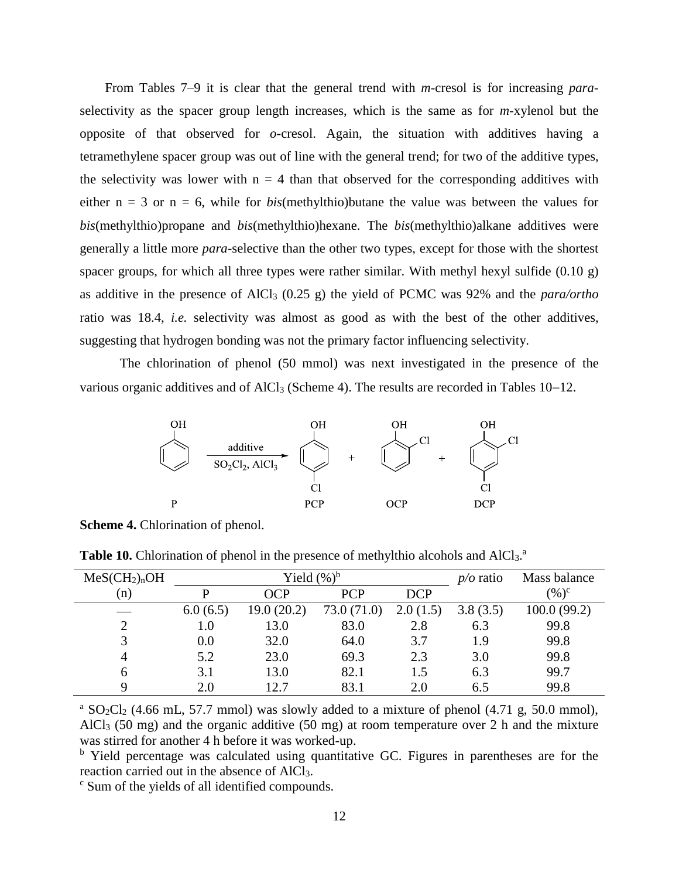From Tables 7–9 it is clear that the general trend with *m*-cresol is for increasing *para*selectivity as the spacer group length increases, which is the same as for *m*-xylenol but the opposite of that observed for *o*-cresol. Again, the situation with additives having a tetramethylene spacer group was out of line with the general trend; for two of the additive types, the selectivity was lower with  $n = 4$  than that observed for the corresponding additives with either  $n = 3$  or  $n = 6$ , while for *bis*(methylthio)butane the value was between the values for *bis*(methylthio)propane and *bis*(methylthio)hexane. The *bis*(methylthio)alkane additives were generally a little more *para*-selective than the other two types, except for those with the shortest spacer groups, for which all three types were rather similar. With methyl hexyl sulfide  $(0.10 \text{ g})$ as additive in the presence of AlCl3 (0.25 g) the yield of PCMC was 92% and the *para/ortho* ratio was 18.4, *i.e.* selectivity was almost as good as with the best of the other additives, suggesting that hydrogen bonding was not the primary factor influencing selectivity.

The chlorination of phenol (50 mmol) was next investigated in the presence of the various organic additives and of  $AIC<sub>13</sub>$  (Scheme 4). The results are recorded in Tables 10–12.



**Scheme 4.** Chlorination of phenol.

| MeSCH <sub>2</sub> ) <sub>n</sub> OH |          | Yield $(\%)^b$ | $p/o$ ratio | Mass balance |          |             |
|--------------------------------------|----------|----------------|-------------|--------------|----------|-------------|
| (n)                                  | p        | OCP            | <b>PCP</b>  | <b>DCP</b>   |          | $(\%)^c$    |
|                                      | 6.0(6.5) | 19.0(20.2)     | 73.0 (71.0) | 2.0(1.5)     | 3.8(3.5) | 100.0(99.2) |
| $\gamma$                             | $1.0\,$  | 13.0           | 83.0        | 2.8          | 6.3      | 99.8        |
| 3                                    | 0.0      | 32.0           | 64.0        | 3.7          | 1.9      | 99.8        |
| 4                                    | 5.2      | 23.0           | 69.3        | 2.3          | 3.0      | 99.8        |
| $\mathfrak b$                        | 3.1      | 13.0           | 82.1        | 1.5          | 6.3      | 99.7        |
| Q                                    | 2.0      | 12.7           | 83.1        | 2.0          | 6.5      | 99.8        |

Table 10. Chlorination of phenol in the presence of methylthio alcohols and AlCl<sub>3</sub>.<sup>a</sup>

<sup>a</sup> SO<sub>2</sub>Cl<sub>2</sub> (4.66 mL, 57.7 mmol) was slowly added to a mixture of phenol (4.71 g, 50.0 mmol), AlCl3 (50 mg) and the organic additive (50 mg) at room temperature over 2 h and the mixture was stirred for another 4 h before it was worked-up.

<sup>b</sup> Yield percentage was calculated using quantitative GC. Figures in parentheses are for the reaction carried out in the absence of AlCl3.

c Sum of the yields of all identified compounds.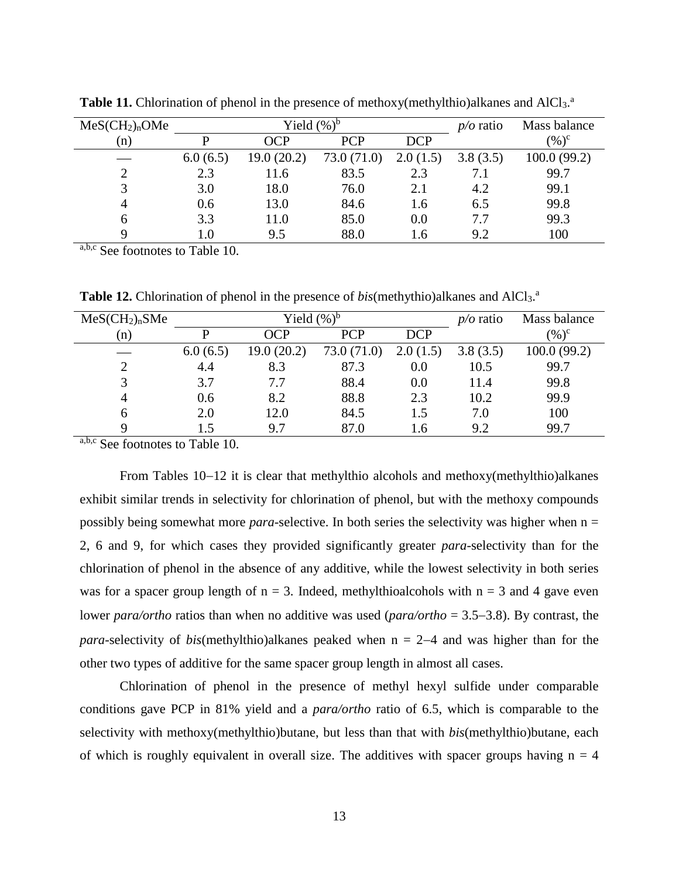| MeS(CH <sub>2</sub> ) <sub>n</sub> OMe |          | Yield $(\%)^b$ | $p/o$ ratio | Mass balance |          |              |
|----------------------------------------|----------|----------------|-------------|--------------|----------|--------------|
| (n)                                    | D        | OCP            | <b>PCP</b>  | <b>DCP</b>   |          | $(\%)^c$     |
|                                        | 6.0(6.5) | 19.0(20.2)     | 73.0 (71.0) | 2.0(1.5)     | 3.8(3.5) | 100.0 (99.2) |
|                                        | 2.3      | 11.6           | 83.5        | 2.3          | 7.1      | 99.7         |
|                                        | 3.0      | 18.0           | 76.0        | 2.1          | 4.2      | 99.1         |
| 4                                      | 0.6      | 13.0           | 84.6        | 1.6          | 6.5      | 99.8         |
| 6                                      | 3.3      | 11.0           | 85.0        | 0.0          | 7.7      | 99.3         |
| $\sim$                                 | 1.0      | 9.5            | 88.0        | 1.6          | 9.2      | 100          |

Table 11. Chlorination of phenol in the presence of methoxy(methylthio)alkanes and AlCl<sub>3</sub>.<sup>a</sup>

a,b,c See footnotes to Table 10.

Table 12. Chlorination of phenol in the presence of *bis*(methythio)alkanes and AlCl<sub>3</sub>.<sup>a</sup>

| MeS(CH <sub>2</sub> ) <sub>n</sub> SMe |          | Yield $(\%)^b$ | $p/o$ ratio | Mass balance |          |             |
|----------------------------------------|----------|----------------|-------------|--------------|----------|-------------|
| (n)                                    | р        | OCP            | <b>PCP</b>  | <b>DCP</b>   |          | $(\%)^c$    |
|                                        | 6.0(6.5) | 19.0(20.2)     | 73.0 (71.0) | 2.0(1.5)     | 3.8(3.5) | 100.0(99.2) |
| 2                                      | 4.4      | 8.3            | 87.3        | 0.0          | 10.5     | 99.7        |
| 3                                      | 3.7      | 7.7            | 88.4        | 0.0          | 11.4     | 99.8        |
| 4                                      | 0.6      | 8.2            | 88.8        | 2.3          | 10.2     | 99.9        |
| 6                                      | 2.0      | 12.0           | 84.5        | 1.5          | 7.0      | 100         |
| Q                                      | l .5     | 9.7            | 87.0        | 1.6          | 9.2      | 99.7        |

a,b,c See footnotes to Table 10.

From Tables  $10-12$  it is clear that methylthio alcohols and methoxy(methylthio)alkanes exhibit similar trends in selectivity for chlorination of phenol, but with the methoxy compounds possibly being somewhat more *para*-selective. In both series the selectivity was higher when  $n =$ 2, 6 and 9, for which cases they provided significantly greater *para*-selectivity than for the chlorination of phenol in the absence of any additive, while the lowest selectivity in both series was for a spacer group length of  $n = 3$ . Indeed, methylthioalcohols with  $n = 3$  and 4 gave even lower *para/ortho* ratios than when no additive was used ( $para/ortho = 3.5-3.8$ ). By contrast, the *para*-selectivity of *bis*(methylthio)alkanes peaked when  $n = 2-4$  and was higher than for the other two types of additive for the same spacer group length in almost all cases.

Chlorination of phenol in the presence of methyl hexyl sulfide under comparable conditions gave PCP in 81% yield and a *para/ortho* ratio of 6.5, which is comparable to the selectivity with methoxy(methylthio)butane, but less than that with *bis*(methylthio)butane, each of which is roughly equivalent in overall size. The additives with spacer groups having  $n = 4$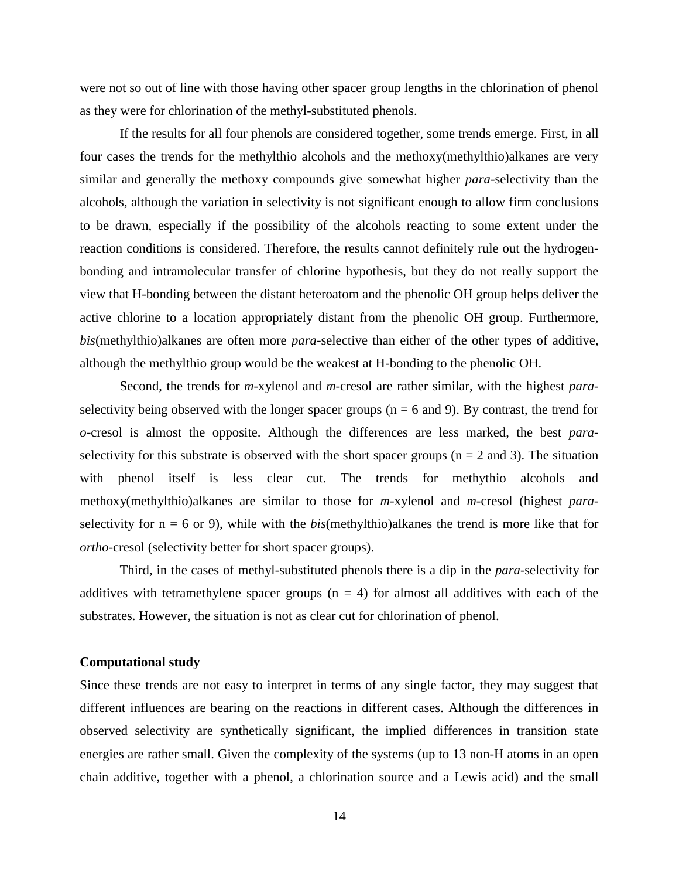were not so out of line with those having other spacer group lengths in the chlorination of phenol as they were for chlorination of the methyl-substituted phenols.

If the results for all four phenols are considered together, some trends emerge. First, in all four cases the trends for the methylthio alcohols and the methoxy(methylthio)alkanes are very similar and generally the methoxy compounds give somewhat higher *para*-selectivity than the alcohols, although the variation in selectivity is not significant enough to allow firm conclusions to be drawn, especially if the possibility of the alcohols reacting to some extent under the reaction conditions is considered. Therefore, the results cannot definitely rule out the hydrogenbonding and intramolecular transfer of chlorine hypothesis, but they do not really support the view that H-bonding between the distant heteroatom and the phenolic OH group helps deliver the active chlorine to a location appropriately distant from the phenolic OH group. Furthermore, *bis*(methylthio)alkanes are often more *para*-selective than either of the other types of additive, although the methylthio group would be the weakest at H-bonding to the phenolic OH.

Second, the trends for *m*-xylenol and *m*-cresol are rather similar, with the highest *para*selectivity being observed with the longer spacer groups ( $n = 6$  and 9). By contrast, the trend for *o*-cresol is almost the opposite. Although the differences are less marked, the best *para*selectivity for this substrate is observed with the short spacer groups ( $n = 2$  and 3). The situation with phenol itself is less clear cut. The trends for methythio alcohols and methoxy(methylthio)alkanes are similar to those for *m*-xylenol and *m*-cresol (highest *para*selectivity for n = 6 or 9), while with the *bis*(methylthio)alkanes the trend is more like that for *ortho*-cresol (selectivity better for short spacer groups).

Third, in the cases of methyl-substituted phenols there is a dip in the *para*-selectivity for additives with tetramethylene spacer groups  $(n = 4)$  for almost all additives with each of the substrates. However, the situation is not as clear cut for chlorination of phenol.

#### **Computational study**

Since these trends are not easy to interpret in terms of any single factor, they may suggest that different influences are bearing on the reactions in different cases. Although the differences in observed selectivity are synthetically significant, the implied differences in transition state energies are rather small. Given the complexity of the systems (up to 13 non-H atoms in an open chain additive, together with a phenol, a chlorination source and a Lewis acid) and the small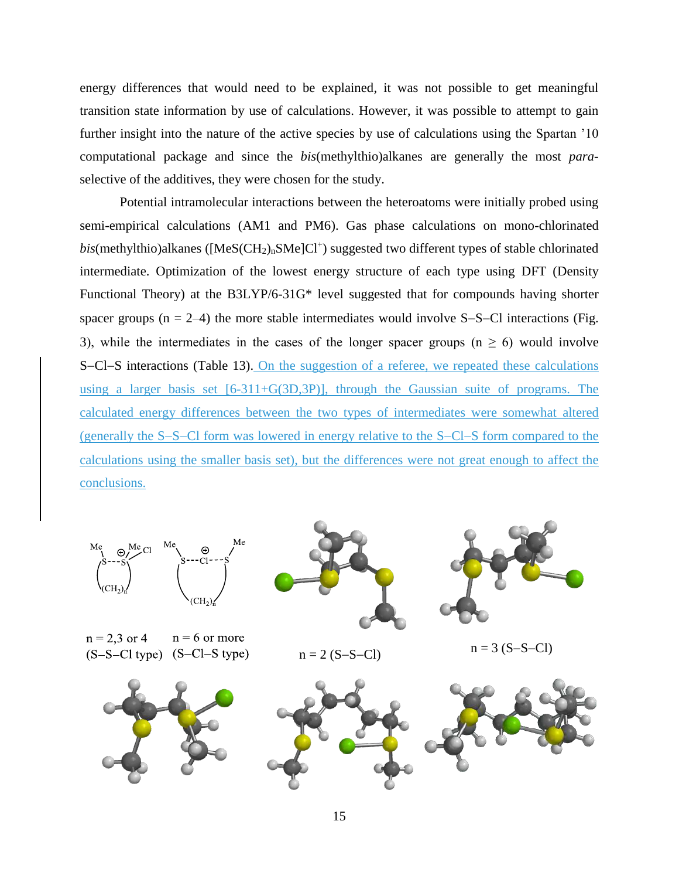energy differences that would need to be explained, it was not possible to get meaningful transition state information by use of calculations. However, it was possible to attempt to gain further insight into the nature of the active species by use of calculations using the Spartan '10 computational package and since the *bis*(methylthio)alkanes are generally the most *para*selective of the additives, they were chosen for the study.

Potential intramolecular interactions between the heteroatoms were initially probed using semi-empirical calculations (AM1 and PM6). Gas phase calculations on mono-chlorinated bis(methylthio)alkanes ([MeS(CH<sub>2)n</sub>SMe]Cl<sup>+</sup>) suggested two different types of stable chlorinated intermediate. Optimization of the lowest energy structure of each type using DFT (Density Functional Theory) at the B3LYP/6-31G\* level suggested that for compounds having shorter spacer groups ( $n = 2-4$ ) the more stable intermediates would involve S-S-Cl interactions (Fig. 3), while the intermediates in the cases of the longer spacer groups ( $n \ge 6$ ) would involve S-Cl-S interactions (Table 13). On the suggestion of a referee, we repeated these calculations using a larger basis set [6-311+G(3D,3P)], through the Gaussian suite of programs. The calculated energy differences between the two types of intermediates were somewhat altered (generally the S-S-Cl form was lowered in energy relative to the S-Cl-S form compared to the calculations using the smaller basis set), but the differences were not great enough to affect the conclusions.



15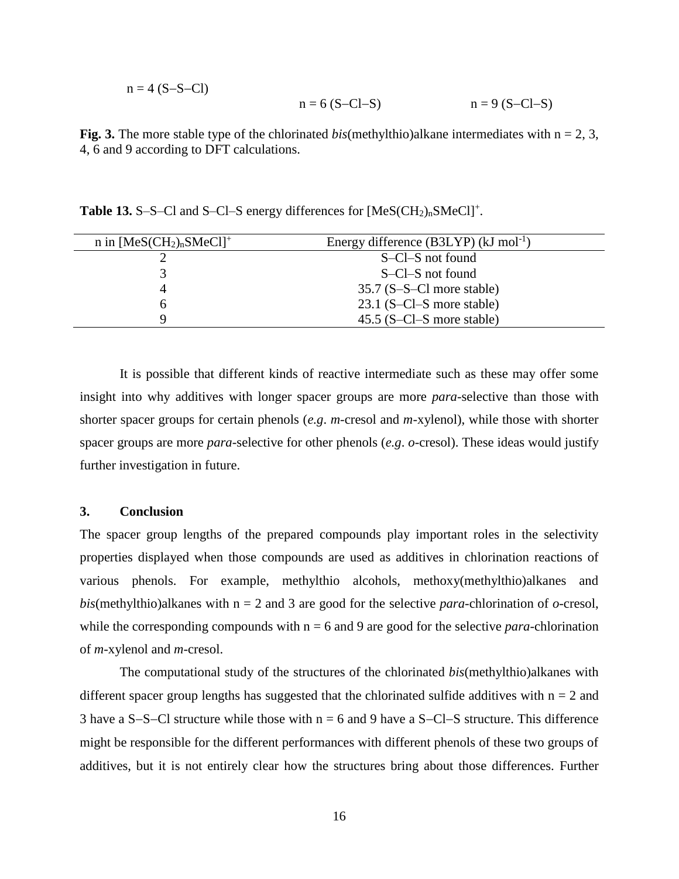$$
n = 4 (S-S-C1)
$$
  
\n
$$
n = 6 (S-C1-S)
$$
  
\n
$$
n = 9 (S-C1-S)
$$

**Fig. 3.** The more stable type of the chlorinated *bis*(methylthio)alkane intermediates with  $n = 2, 3$ , 4, 6 and 9 according to DFT calculations.

Table 13. S-S-Cl and S-Cl-S energy differences for  $[MeS(CH_2)_nSMeCl]^+$ .

| n in $[MeS(CH_2)_nSMeCl]^+$ | Energy difference $(B3LYP)$ (kJ mol <sup>-1</sup> ) |
|-----------------------------|-----------------------------------------------------|
|                             | S-Cl-S not found                                    |
|                             | S-Cl-S not found                                    |
|                             | $35.7$ (S-S-Cl more stable)                         |
| n                           | $23.1$ (S-Cl-S more stable)                         |
|                             | $45.5$ (S-Cl-S more stable)                         |

It is possible that different kinds of reactive intermediate such as these may offer some insight into why additives with longer spacer groups are more *para*-selective than those with shorter spacer groups for certain phenols (*e.g*. *m*-cresol and *m*-xylenol), while those with shorter spacer groups are more *para*-selective for other phenols (*e.g*. *o*-cresol). These ideas would justify further investigation in future.

#### **3. Conclusion**

The spacer group lengths of the prepared compounds play important roles in the selectivity properties displayed when those compounds are used as additives in chlorination reactions of various phenols. For example, methylthio alcohols, methoxy(methylthio)alkanes and *bis*(methylthio)alkanes with  $n = 2$  and 3 are good for the selective *para*-chlorination of *o*-cresol, while the corresponding compounds with  $n = 6$  and 9 are good for the selective *para*-chlorination of *m*-xylenol and *m*-cresol.

The computational study of the structures of the chlorinated *bis*(methylthio)alkanes with different spacer group lengths has suggested that the chlorinated sulfide additives with  $n = 2$  and 3 have a S-S-Cl structure while those with  $n = 6$  and 9 have a S-Cl-S structure. This difference might be responsible for the different performances with different phenols of these two groups of additives, but it is not entirely clear how the structures bring about those differences. Further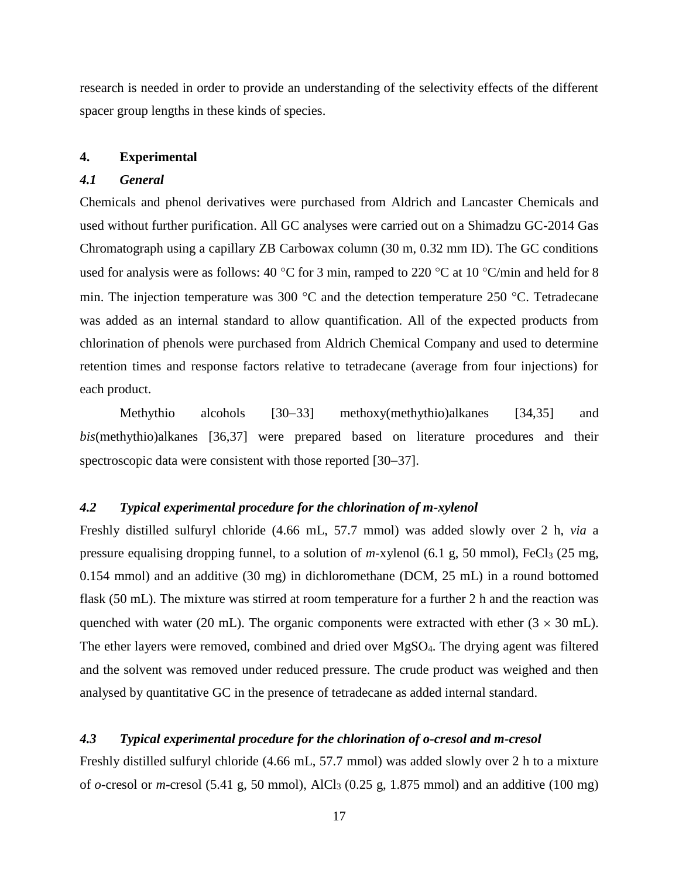research is needed in order to provide an understanding of the selectivity effects of the different spacer group lengths in these kinds of species.

#### **4. Experimental**

## *4.1 General*

Chemicals and phenol derivatives were purchased from Aldrich and Lancaster Chemicals and used without further purification. All GC analyses were carried out on a Shimadzu GC-2014 Gas Chromatograph using a capillary ZB Carbowax column (30 m, 0.32 mm ID). The GC conditions used for analysis were as follows: 40 °C for 3 min, ramped to 220 °C at 10 °C/min and held for 8 min. The injection temperature was 300  $^{\circ}$ C and the detection temperature 250  $^{\circ}$ C. Tetradecane was added as an internal standard to allow quantification. All of the expected products from chlorination of phenols were purchased from Aldrich Chemical Company and used to determine retention times and response factors relative to tetradecane (average from four injections) for each product.

Methythio alcohols [30–33] methoxy(methythio)alkanes [34,35] and *bis*(methythio)alkanes [36,37] were prepared based on literature procedures and their spectroscopic data were consistent with those reported  $[30-37]$ .

#### *4.2 Typical experimental procedure for the chlorination of m-xylenol*

Freshly distilled sulfuryl chloride (4.66 mL, 57.7 mmol) was added slowly over 2 h, *via* a pressure equalising dropping funnel, to a solution of *m*-xylenol (6.1 g, 50 mmol), FeCl<sub>3</sub> (25 mg, 0.154 mmol) and an additive (30 mg) in dichloromethane (DCM, 25 mL) in a round bottomed flask (50 mL). The mixture was stirred at room temperature for a further 2 h and the reaction was quenched with water (20 mL). The organic components were extracted with ether (3  $\times$  30 mL). The ether layers were removed, combined and dried over MgSO4. The drying agent was filtered and the solvent was removed under reduced pressure. The crude product was weighed and then analysed by quantitative GC in the presence of tetradecane as added internal standard.

## *4.3 Typical experimental procedure for the chlorination of o-cresol and m-cresol*

Freshly distilled sulfuryl chloride (4.66 mL, 57.7 mmol) was added slowly over 2 h to a mixture of *o*-cresol or *m*-cresol (5.41 g, 50 mmol), AlCl3 (0.25 g, 1.875 mmol) and an additive (100 mg)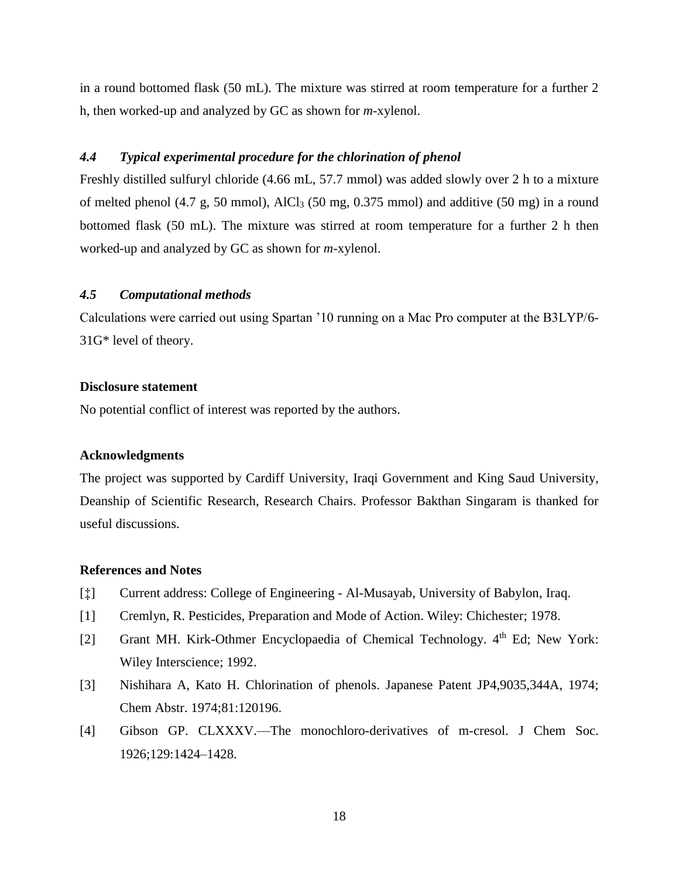in a round bottomed flask (50 mL). The mixture was stirred at room temperature for a further 2 h, then worked-up and analyzed by GC as shown for *m*-xylenol.

#### *4.4 Typical experimental procedure for the chlorination of phenol*

Freshly distilled sulfuryl chloride (4.66 mL, 57.7 mmol) was added slowly over 2 h to a mixture of melted phenol (4.7 g, 50 mmol), AlCl<sub>3</sub> (50 mg, 0.375 mmol) and additive (50 mg) in a round bottomed flask (50 mL). The mixture was stirred at room temperature for a further 2 h then worked-up and analyzed by GC as shown for *m*-xylenol.

#### *4.5 Computational methods*

Calculations were carried out using Spartan '10 running on a Mac Pro computer at the B3LYP/6- 31G\* level of theory.

#### **Disclosure statement**

No potential conflict of interest was reported by the authors.

#### **Acknowledgments**

The project was supported by Cardiff University, Iraqi Government and King Saud University, Deanship of Scientific Research, Research Chairs. Professor Bakthan Singaram is thanked for useful discussions.

#### **References and Notes**

- [ $\ddagger$ ] Current address: College of Engineering Al-Musayab, University of Babylon, Iraq.
- [1] Cremlyn, R. Pesticides, Preparation and Mode of Action. Wiley: Chichester; 1978.
- [2] Grant MH. Kirk-Othmer Encyclopaedia of Chemical Technology. 4<sup>th</sup> Ed; New York: Wiley Interscience; 1992.
- [3] Nishihara A, Kato H. Chlorination of phenols. Japanese Patent JP4,9035,344A, 1974; Chem Abstr. 1974;81:120196.
- [4] Gibson GP. CLXXXV.—The monochloro-derivatives of m-cresol. J Chem Soc. 1926;129:1424–1428.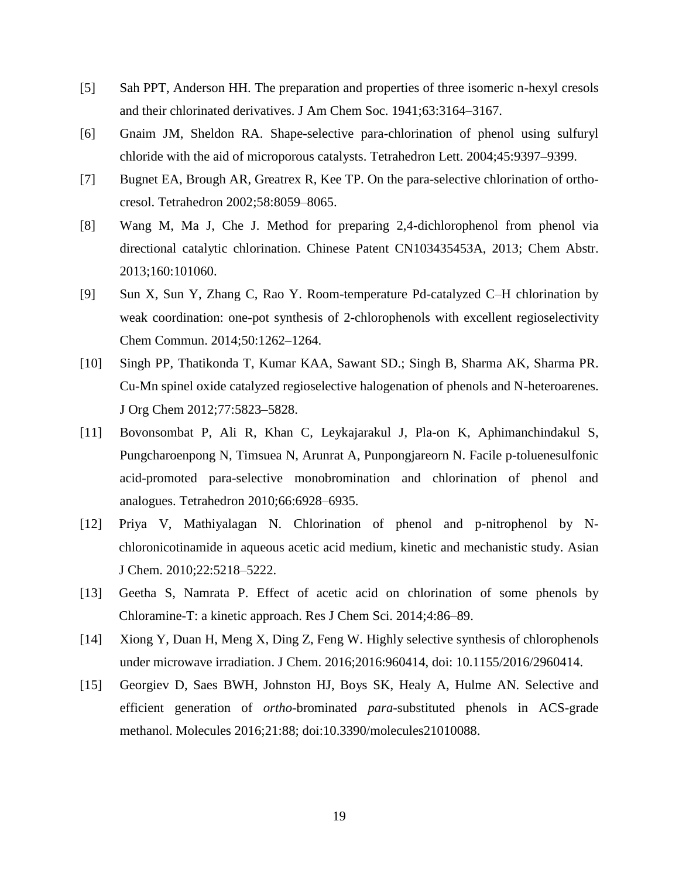- [5] Sah PPT, Anderson HH. The preparation and properties of three isomeric n-hexyl cresols and their chlorinated derivatives. J Am Chem Soc. 1941;63:3164–3167.
- [6] Gnaim JM, Sheldon RA. Shape-selective para-chlorination of phenol using sulfuryl chloride with the aid of microporous catalysts. Tetrahedron Lett. 2004;45:9397–9399.
- [7] Bugnet EA, Brough AR, Greatrex R, Kee TP. On the para-selective chlorination of orthocresol. Tetrahedron 2002;58:8059–8065.
- [8] Wang M, Ma J, Che J. Method for preparing 2,4-dichlorophenol from phenol via directional catalytic chlorination. Chinese Patent CN103435453A, 2013; Chem Abstr. 2013;160:101060.
- [9] Sun X, Sun Y, Zhang C, Rao Y. Room-temperature Pd-catalyzed C–H chlorination by weak coordination: one-pot synthesis of 2-chlorophenols with excellent regioselectivity Chem Commun. 2014;50:1262–1264.
- [10] Singh PP, Thatikonda T, Kumar KAA, Sawant SD.; Singh B, Sharma AK, Sharma PR. Cu-Mn spinel oxide catalyzed regioselective halogenation of phenols and N-heteroarenes. J Org Chem 2012;77:5823–5828.
- [11] Bovonsombat P, Ali R, Khan C, Leykajarakul J, Pla-on K, Aphimanchindakul S, Pungcharoenpong N, Timsuea N, Arunrat A, Punpongjareorn N. Facile p-toluenesulfonic acid-promoted para-selective monobromination and chlorination of phenol and analogues. Tetrahedron 2010;66:6928–6935.
- [12] Priya V, Mathiyalagan N. Chlorination of phenol and p-nitrophenol by Nchloronicotinamide in aqueous acetic acid medium, kinetic and mechanistic study. Asian J Chem. 2010;22:5218–5222.
- [13] Geetha S, Namrata P. Effect of acetic acid on chlorination of some phenols by Chloramine-T: a kinetic approach. Res J Chem Sci. 2014;4:86–89.
- [14] Xiong Y, Duan H, Meng X, Ding Z, Feng W. Highly selective synthesis of chlorophenols under microwave irradiation. J Chem. 2016;2016:960414, doi: 10.1155/2016/2960414.
- [15] Georgiev D, Saes BWH, Johnston HJ, Boys SK, Healy A, Hulme AN. Selective and efficient generation of *ortho*-brominated *para*-substituted phenols in ACS-grade methanol. Molecules 2016;21:88; doi:10.3390/molecules21010088.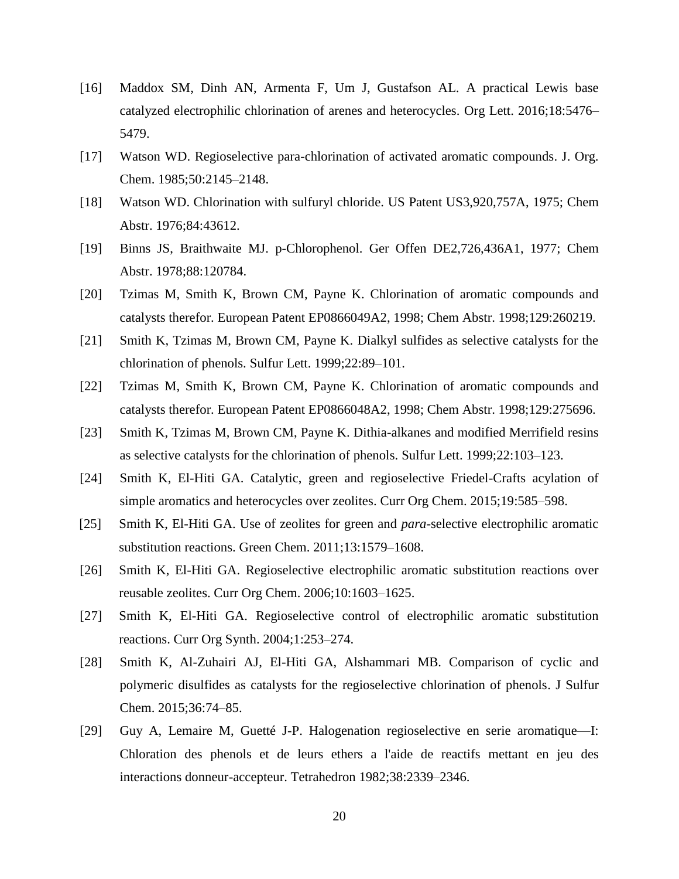- [16] Maddox SM, Dinh AN, Armenta F, Um J, Gustafson AL. A practical Lewis base catalyzed electrophilic chlorination of arenes and heterocycles. Org Lett. 2016;18:5476– 5479.
- [17] Watson WD. Regioselective para-chlorination of activated aromatic compounds. J. Org. Chem. 1985;50:2145–2148.
- [18] Watson WD. Chlorination with sulfuryl chloride. US Patent US3,920,757A, 1975; Chem Abstr. 1976;84:43612.
- [19] Binns JS, Braithwaite MJ. p-Chlorophenol. Ger Offen DE2,726,436A1, 1977; Chem Abstr. 1978;88:120784.
- [20] Tzimas M, Smith K, Brown CM, Payne K. Chlorination of aromatic compounds and catalysts therefor. European Patent EP0866049A2, 1998; Chem Abstr. 1998;129:260219.
- [21] Smith K, Tzimas M, Brown CM, Payne K. Dialkyl sulfides as selective catalysts for the chlorination of phenols. Sulfur Lett. 1999;22:89–101.
- [22] Tzimas M, Smith K, Brown CM, Payne K. Chlorination of aromatic compounds and catalysts therefor. European Patent EP0866048A2, 1998; Chem Abstr. 1998;129:275696.
- [23] Smith K, Tzimas M, Brown CM, Payne K. Dithia-alkanes and modified Merrifield resins as selective catalysts for the chlorination of phenols. Sulfur Lett. 1999;22:103–123.
- [24] Smith K, El-Hiti GA. Catalytic, green and regioselective Friedel-Crafts acylation of simple aromatics and heterocycles over zeolites. Curr Org Chem. 2015;19:585–598.
- [25] Smith K, El-Hiti GA. Use of zeolites for green and *para*-selective electrophilic aromatic substitution reactions. Green Chem. 2011;13:1579–1608.
- [26] Smith K, El-Hiti GA. Regioselective electrophilic aromatic substitution reactions over reusable zeolites. Curr Org Chem. 2006;10:1603–1625.
- [27] Smith K, El-Hiti GA. Regioselective control of electrophilic aromatic substitution reactions. Curr Org Synth. 2004;1:253–274.
- [28] Smith K, Al-Zuhairi AJ, El-Hiti GA, Alshammari MB. Comparison of cyclic and polymeric disulfides as catalysts for the regioselective chlorination of phenols. J Sulfur Chem. 2015;36:74–85.
- [29] Guy A, Lemaire M, Guetté J-P. Halogenation regioselective en serie aromatique—I: Chloration des phenols et de leurs ethers a l'aide de reactifs mettant en jeu des interactions donneur-accepteur. Tetrahedron 1982;38:2339–2346.